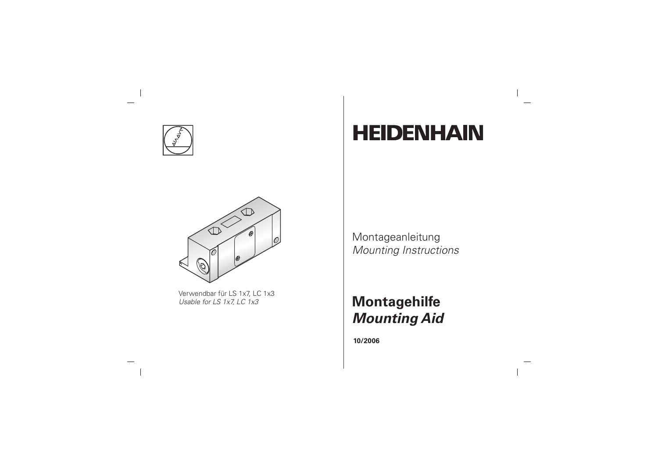

# $\sqrt{2}$

Verwendbar für LS 1x7, LC 1x3 Usable for LS 1x7, LC 1x3

# **HEIDENHAIN**

#### Montageanleitung **Mounting Instructions**

### **Montagehilfe Mounting Aid**

10/2006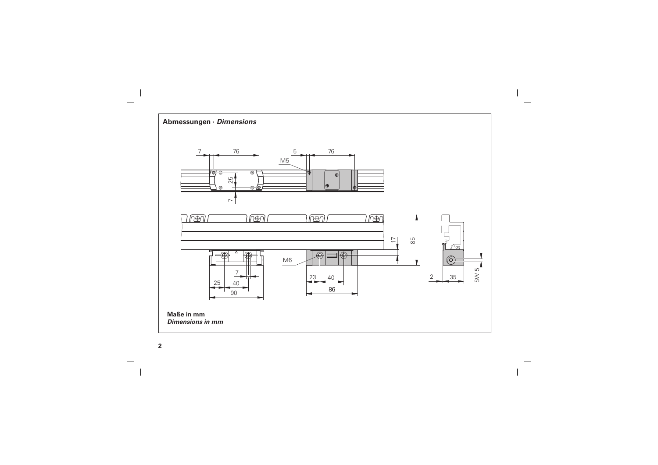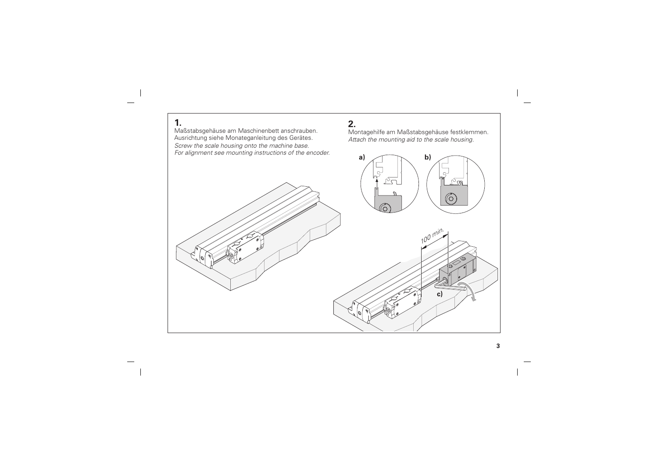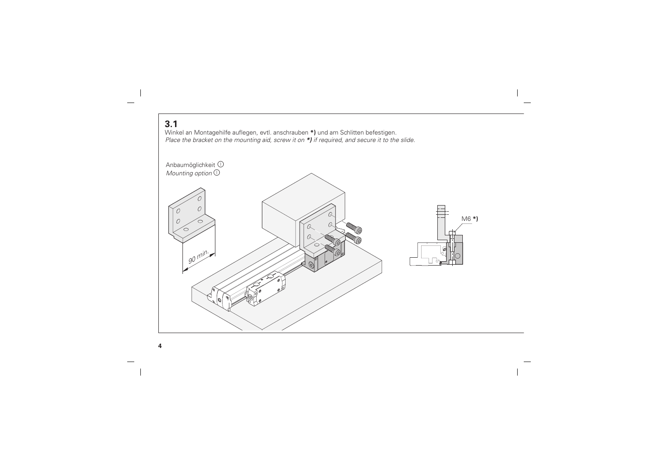#### $3.1$

Winkel an Montagehilfe auflegen, evtl. anschrauben \*) und am Schlitten befestigen. Place the bracket on the mounting aid, screw it on \*) if required, and secure it to the slide.

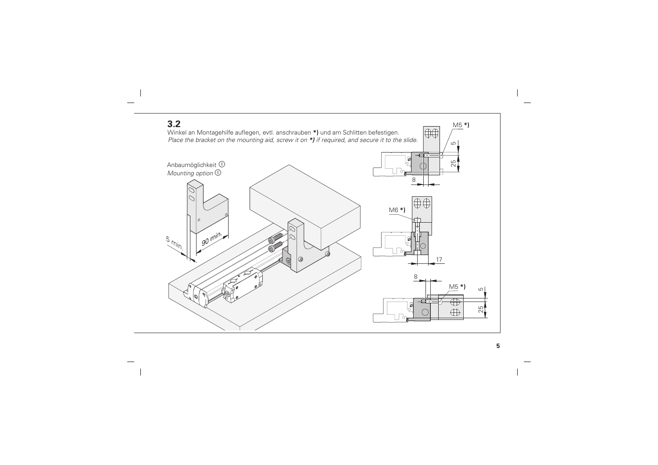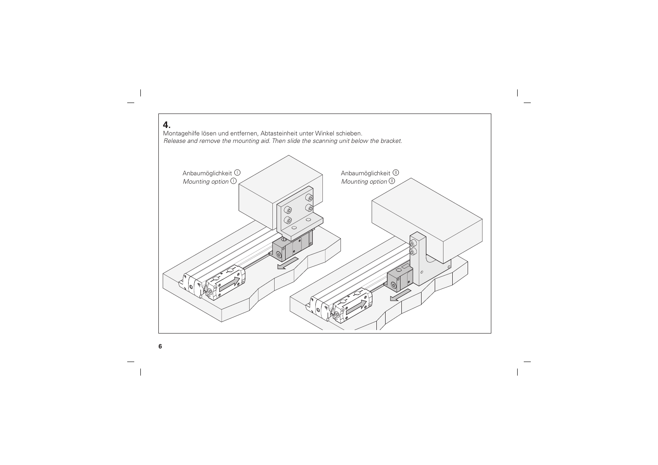#### 4.

Montagehilfe lösen und entfernen, Abtasteinheit unter Winkel schieben. Release and remove the mounting aid. Then slide the scanning unit below the bracket.

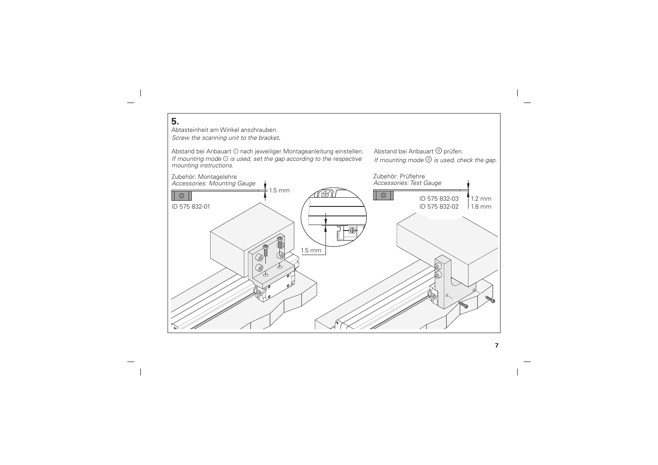#### 5.

Abtasteinheit am Winkel anschrauben Screw the scanning unit to the bracket.

Abstand bei Anbauart ① nach jeweiliger Montageanleitung einstellen. If mounting mode  $\mathbb O$  is used, set the gap according to the respective mounting instructions.

Abstand bei Anbauart (1) prüfen. If mounting mode  $\mathbb D$  is used, check the gap.